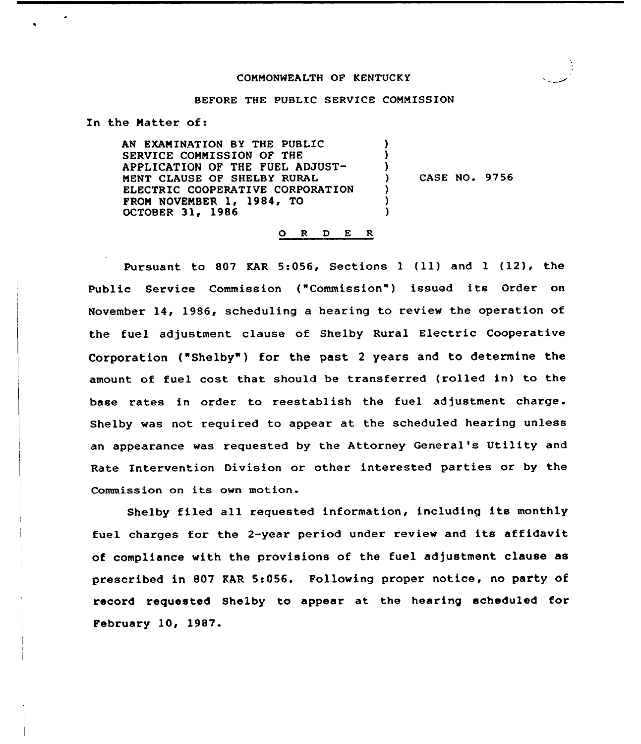#### COMMONWEALTH OP KENTUCKY

#### BEFORE THE PUBLIC SERVICE COMMISSION

) ) )

> ) ) )

In the Natter of:

AN EXAMINATION BY THE PUBLIC SERVICE COMMISSION OF THE APPLICATION OF THE FUEL ADJUST-MENT CLAUSE OP SHELBY RURAL ELECTRIC COOPERATIVE CORPORATION FROM NOVEMBER 1, 1984, TO OCTOBER 31, 1986

) CASE NO. 9756

#### O R D E R

Pursuant to 807 KAR 5:056, Sections <sup>1</sup> (11) and <sup>1</sup> (12), the Public Service Commission ("Commission") issued its Order on November 14, 1986, scheduling a hearing to review the operation of the fuel adjustment clause of Shelby Rural Electric Cooperative Corporation ("Shelby") for the past 2 years and to determine the amount of fuel cost that should be transferred (rolled in) to the base rates in arder to reestablish the fuel adjustment charge. Shelby was not required to appear at the scheduled hearing unless an appearance was requested by the Attorney General's Utility and Rate Intervention Division or other interested parties or by the Commission on its own motion.

Shelby filed all requested information, including its monthly fuel charges for the 2-year period under review and its affidavit of compliance with the provisions of the fuel adjustment clause as prescribed in 807 EAR 5:056. Following proper notice, no party of record requested Shelby to appear at the hearing scheduled for February 10, 1987.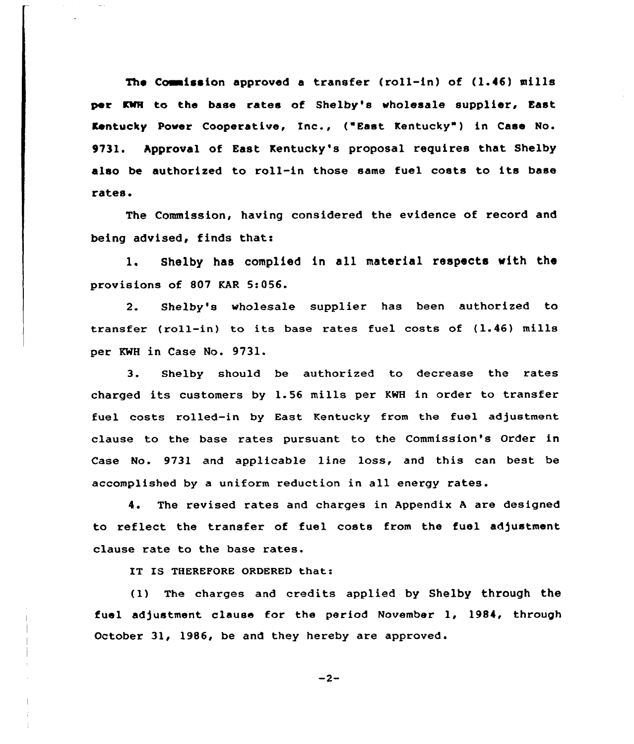The Commission approved a transfer (roll-in) of (1.46) mills per KWH to the base rates of Shelby's wholesale supplier, East Kentucky Power Cooperative, Inc., ("East Kentucky" ) in Case No. 9731. Approval of East Kentucky's proposal requires that Shelby also be authorized to roll-in those same fuel costs to its base rates.

The Commission, having considered the evidence of record and being advised, finds that:

1. Shelby has complied in all material respects with the provisions of 807 KAR 5:056.

2. Shelby's wholesale supplier has been authorized to transfer (roll-in) to its base rates fuel costs of (1.46) mills per KWH in Case No. 9731.

3. Shelby should be authorized to decrease the rates charged its customers by 1.56 mills per KWH in order to transfer fuel costs rolled-in by East Kentucky from the fuel adjustment clause to the base rates pursuant to the Commission's Order in Case No. 9731 and applicable line loss, and this can best be accomplished by a uniform reduction in all energy rates.

4. The revised rates and charges in Appendix <sup>A</sup> are designed to reflect the transfer of fuel costs from the fuel adjustment clause rate to the base rates.

IT IS THEREFORE ORDERED that:

(1) The charges and credits applied by Shelby through the fuel adjustment clause far the period November 1, 1984, through October 31, 1986, be and they hereby are approved.

 $-2-$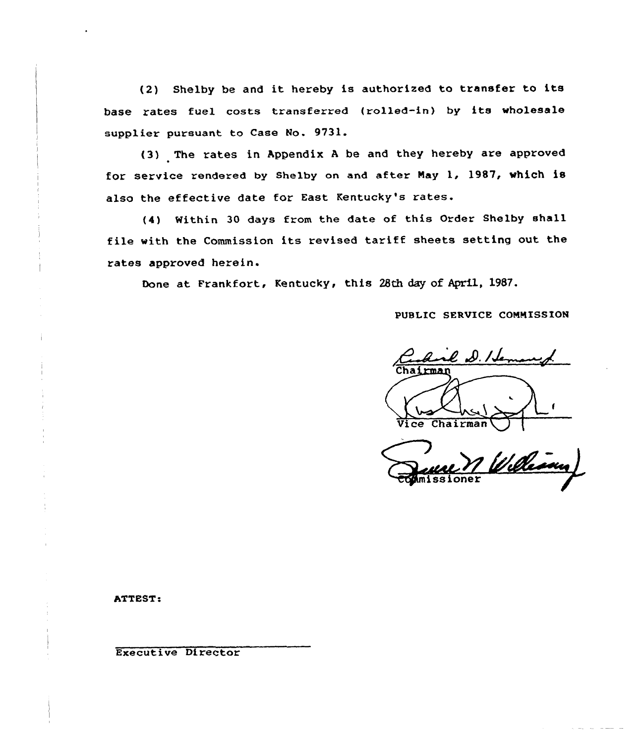(2) Shelby be and it hereby is authorized to transfer to its base rates fuel costs transferred (rolled-in) by its wholesale supplier pursuant to Case No. 9731.

(3) The rates in Appendix <sup>A</sup> be and they hereby are approved for service rendered by Shelby on and after Nay 1, 1987, which is also the effective date for East Kentucky's rates.

(4) Within 30 days from the date of this Order Shelby shall file with the Commission its revised tariff sheets setting out the rates approved herein.

Done at Frankfort, Kentucky, this 28th day of April, 19S7.

PUBLIC SERVICE CONNISS ION

 $l$  D. Her Vice Chairman~

William issione

ATTEST:

Executive Director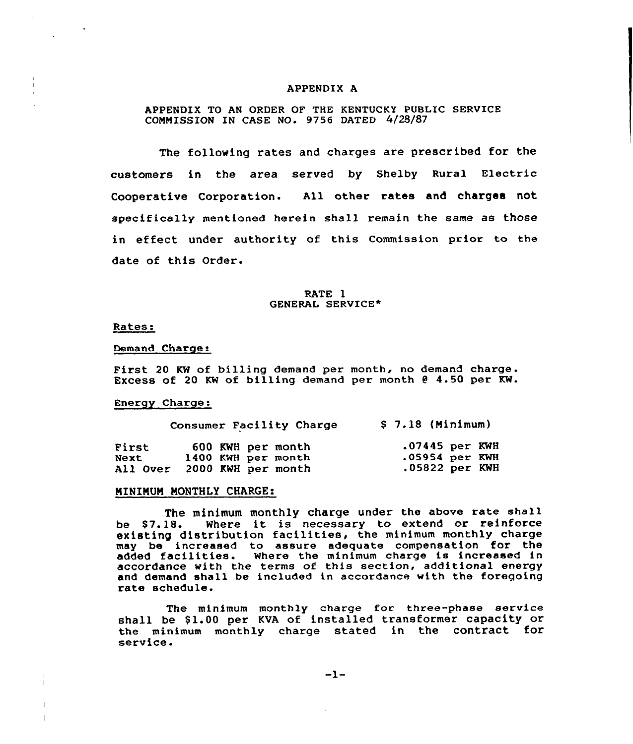#### APPENDIX A

APPENDIX TO AN ORDER OF THE KENTUCKY PUBLIC SERVICE COMMISSION IN CASE NO. 9756 DATED 4/28/87

The following rates and charges are prescribed for the customers in the area served by Shelby Rural Electric Cooperative Corporation. All other rates and charges not specifically mentioned herein shall remain the same as those in effect under authority of this Commission prior to the date of this Order.

#### RATE 1 GENERAL SERVICE\*

#### Rates:

#### Demand Charge:

First 20 KW of billing demand per month, no demand charge. Excess of 20 KW of billing demand per month <sup>9</sup> 4.50 per KW.

#### Energy Charge:

|          | Consumer Facility Charge | $$7.18$ (Minimum) |  |  |  |
|----------|--------------------------|-------------------|--|--|--|
| First    | 600 KWH per month        | $.07445$ per KWH  |  |  |  |
| Next     | 1400 KWH per month       | $.05954$ per KWH  |  |  |  |
| All Over | 2000 KWH per month       | $.05822$ per KWH  |  |  |  |

#### MINIMUM MONTHLY CHARGE:

The minimum monthly charge under the above rate shall be S7.18. Where it is necessary to extend or reinforce existing distribution facilities, the minimum monthly charge may be increased to assure adequate compensation for the may be increased to assure adequate compensation for the<br>added facilities. Where the minimum charge is increased in added facilities. Where the minimum endigs is increased I and demand shall be included in accordance with the foregoing rate schedule.

The minimum monthly charge for three-phase service shall be \$1.00 per KVA of installed transformer capacity or the minimum monthly charge stated in the contract for service.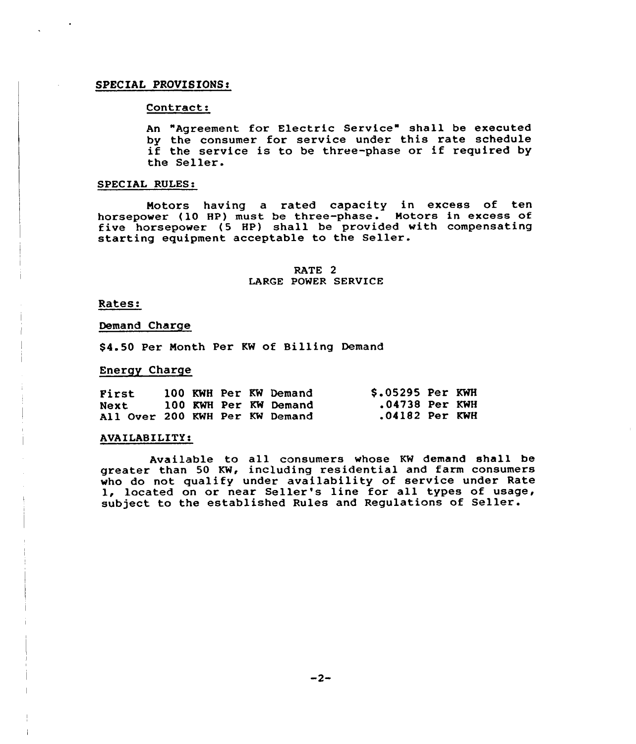#### SPECIAL PROVISIONS!

#### Contract:

An "Agreement for Electric Service" shall be executed by the consumer for service under this rate schedule if the service is to be three-phase or if required by the Seller.

#### SPECIAL RULES:

Notors having a rated capacity in excess of ten horsepower (10 HP) must be three-phase. Motors in excess of five horsepower (5 HP) shall be provided with compensating starting equipment acceptable to the Seller.

#### RATE 2 LARGE POWER SERVICE

#### Rates:

#### Demand Charge

\$4.50 Per Month Per KW of Billing Demand

#### Energy Charge

| First                          |  |  | 100 KWH Per KW Demand | \$.05295 Per KWH |  |
|--------------------------------|--|--|-----------------------|------------------|--|
| Next                           |  |  | 100 KWH Per KW Demand | .04738 Per KWH   |  |
| All Over 200 KWH Per KW Demand |  |  |                       | .04182 Per KWH   |  |

# .<br>A<del>ljuntilitin 'vailaballa' vai</del>lable tehnikustilitin ilmini martale vailable.<br>A

Available to all consumers whose KW demand shall be greater than 50 KW, including residential and farm consumers who do not qualify under availability of service under Rate 1, located on or near Seller's line for all types of usage, subject to the established Rules and Regulations of Seller.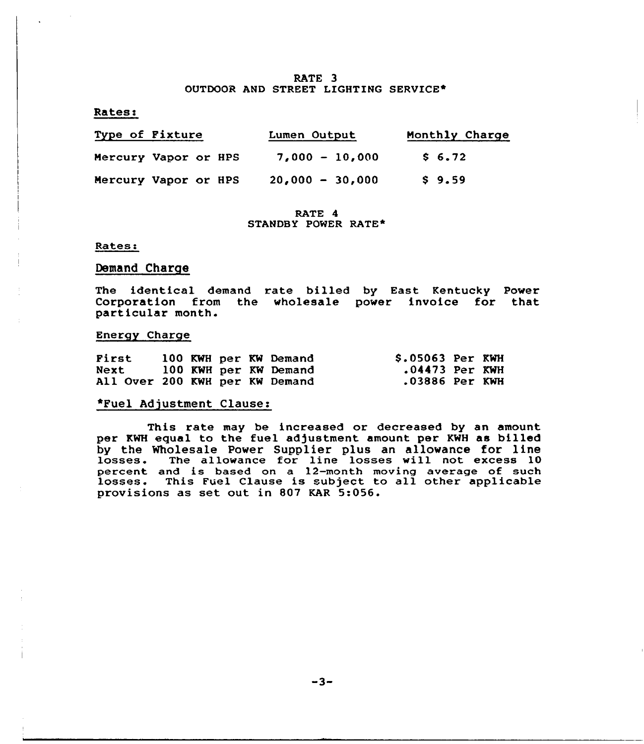#### RATE 3 OUTDOOR AND STREET LIGHTING SERVICE\*

#### Rates!

| Type of Fixture      |  |  | Lumen Output      | Monthly Charge |  |  |
|----------------------|--|--|-------------------|----------------|--|--|
| Mercury Vapor or HPS |  |  | $7,000 - 10,000$  | \$6.72         |  |  |
| Mercury Vapor or HPS |  |  | $20,000 - 30,000$ | \$9.59         |  |  |

RATE 4 STANDBY POWER RATE\*

#### Rates:

## Demand Charge

The identical demand rate billed by East Kentucky Power Corporation from the wholesale power invoice for that particular month.

#### Energy Charge

| First                          |  |  | 100 KWH per KW Demand | \$.05063 Per KWH |  |
|--------------------------------|--|--|-----------------------|------------------|--|
| Next                           |  |  | 100 KWH per KW Demand | .04473 Per KWH   |  |
| All Over 200 KWH per KW Demand |  |  |                       | .03886 Per KWH   |  |

## \*Fuel Adjustment Clause:

This rate may be increased or decreased by an amoun per KWH equal to the fuel adjustment amount per KWH as billed by the Wholesale Power Supplier plus an allowance for line losses. The allowance for line losses will not excess <sup>10</sup> percent and is based on a 12-month moving average of such losses. This Fuel Clause is subject to all other applicable provisions as set out in 807 KAR 5:056.

 $-3-$